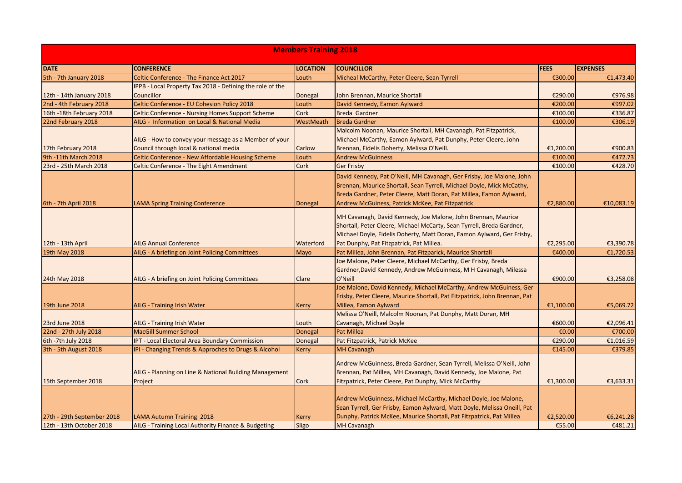| <b>Members Training 2018</b> |                                                                                                 |                 |                                                                                                                                                                                                                                                                           |             |                 |  |  |  |  |
|------------------------------|-------------------------------------------------------------------------------------------------|-----------------|---------------------------------------------------------------------------------------------------------------------------------------------------------------------------------------------------------------------------------------------------------------------------|-------------|-----------------|--|--|--|--|
| <b>DATE</b>                  | <b>CONFERENCE</b>                                                                               | <b>LOCATION</b> | <b>COUNCILLOR</b>                                                                                                                                                                                                                                                         | <b>FEES</b> | <b>EXPENSES</b> |  |  |  |  |
| 5th - 7th January 2018       | Celtic Conference - The Finance Act 2017                                                        | Louth           | Micheal McCarthy, Peter Cleere, Sean Tyrrell                                                                                                                                                                                                                              | €300.00     | €1,473.40       |  |  |  |  |
|                              | IPPB - Local Property Tax 2018 - Defining the role of the                                       |                 |                                                                                                                                                                                                                                                                           |             |                 |  |  |  |  |
| 12th - 14th January 2018     | Councillor                                                                                      | Donegal         | John Brennan, Maurice Shortall                                                                                                                                                                                                                                            | €290.00     | €976.98         |  |  |  |  |
| 2nd - 4th February 2018      | Celtic Conference - EU Cohesion Policy 2018                                                     | Louth           | David Kennedy, Eamon Aylward                                                                                                                                                                                                                                              | €200.00     | €997.02         |  |  |  |  |
| 16th -18th February 2018     | <b>Celtic Conference - Nursing Homes Support Scheme</b>                                         | Cork            | Breda Gardner                                                                                                                                                                                                                                                             | €100.00     | €336.87         |  |  |  |  |
| 22nd February 2018           | AILG - Information on Local & National Media                                                    | WestMeath       | <b>Breda Gardner</b>                                                                                                                                                                                                                                                      | €100.00     | €306.19         |  |  |  |  |
| 17th February 2018           | AILG - How to convey your message as a Member of your<br>Council through local & national media | Carlow          | Malcolm Noonan, Maurice Shortall, MH Cavanagh, Pat Fitzpatrick,<br>Michael McCarthy, Eamon Aylward, Pat Dunphy, Peter Cleere, John<br>Brennan, Fidelis Doherty, Melissa O'Neill.                                                                                          | €1,200.00   | €900.83         |  |  |  |  |
| 9th -11th March 2018         | Celtic Conference - New Affordable Housing Scheme                                               | Louth           | <b>Andrew McGuinness</b>                                                                                                                                                                                                                                                  | €100.00     | €472.73         |  |  |  |  |
| 23rd - 25th March 2018       | Celtic Conference - The Eight Amendment                                                         | Cork            | <b>Ger Frisby</b>                                                                                                                                                                                                                                                         | €100.00     | €428.70         |  |  |  |  |
| 6th - 7th April 2018         | <b>LAMA Spring Training Conference</b>                                                          | <b>Donegal</b>  | David Kennedy, Pat O'Neill, MH Cavanagh, Ger Frisby, Joe Malone, John<br>Brennan, Maurice Shortall, Sean Tyrrell, Michael Doyle, Mick McCathy,<br>Breda Gardner, Peter Cleere, Matt Doran, Pat Millea, Eamon Aylward,<br>Andrew McGuiness, Patrick McKee, Pat Fitzpatrick | €2,880.00   | €10,083.19      |  |  |  |  |
| 12th - 13th April            | <b>AILG Annual Conference</b>                                                                   | Waterford       | MH Cavanagh, David Kennedy, Joe Malone, John Brennan, Maurice<br>Shortall, Peter Cleere, Michael McCarty, Sean Tyrrell, Breda Gardner,<br>Michael Doyle, Fidelis Doherty, Matt Doran, Eamon Aylward, Ger Frisby,<br>Pat Dunphy, Pat Fitzpatrick, Pat Millea.              | €2,295.00   | €3,390.78       |  |  |  |  |
| 19th May 2018                | AILG - A briefing on Joint Policing Committees                                                  | Mayo            | Pat Millea, John Brennan, Pat Fitzparick, Maurice Shortall                                                                                                                                                                                                                | €400.00     | €1,720.53       |  |  |  |  |
| 24th May 2018                | AILG - A briefing on Joint Policing Committees                                                  | Clare           | Joe Malone, Peter Cleere, Michael McCarthy, Ger Frisby, Breda<br>Gardner, David Kennedy, Andrew McGuinness, M H Cavanagh, Milessa<br>O'Neill                                                                                                                              | €900.00     | €3,258.08       |  |  |  |  |
| 19th June 2018               | AILG - Training Irish Water                                                                     | Kerry           | Joe Malone, David Kennedy, Michael McCarthy, Andrew McGuiness, Ger<br>Frisby, Peter Cleere, Maurice Shortall, Pat Fitzpatrick, John Brennan, Pat<br>Millea, Eamon Aylward                                                                                                 | €1,100.00   | €5,069.72       |  |  |  |  |
| 23rd June 2018               | AILG - Training Irish Water                                                                     | Louth           | Melissa O'Neill, Malcolm Noonan, Pat Dunphy, Matt Doran, MH<br>Cavanagh, Michael Doyle                                                                                                                                                                                    | €600.00     | €2,096.41       |  |  |  |  |
| 22nd - 27th July 2018        | <b>MacGill Summer School</b>                                                                    | Donegal         | Pat Millea                                                                                                                                                                                                                                                                | €0.00       | €700.00         |  |  |  |  |
| 6th -7th July 2018           | IPT - Local Electoral Area Boundary Commission                                                  | Donegal         | Pat Fitzpatrick, Patrick McKee                                                                                                                                                                                                                                            | €290.00     | €1,016.59       |  |  |  |  |
| 3th - 5th August 2018        | IPI - Changing Trends & Approches to Drugs & Alcohol                                            | Kerry           | <b>MH Cavanagh</b>                                                                                                                                                                                                                                                        | €145.00     | €379.85         |  |  |  |  |
| 15th September 2018          | AILG - Planning on Line & National Building Management<br>Project                               | Cork            | Andrew McGuinness, Breda Gardner, Sean Tyrrell, Melissa O'Neill, John<br>Brennan, Pat Millea, MH Cavanagh, David Kennedy, Joe Malone, Pat<br>Fitzpatrick, Peter Cleere, Pat Dunphy, Mick McCarthy                                                                         | €1,300.00   | €3,633.31       |  |  |  |  |
| 27th - 29th September 2018   | LAMA Autumn Training 2018                                                                       | Kerry           | Andrew McGuinness, Michael McCarthy, Michael Doyle, Joe Malone,<br>Sean Tyrrell, Ger Frisby, Eamon Aylward, Matt Doyle, Melissa Oneill, Pat<br>Dunphy, Patrick McKee, Maurice Shortall, Pat Fitzpatrick, Pat Millea                                                       | €2,520.00   | €6,241.28       |  |  |  |  |
| 12th - 13th October 2018     | AILG - Training Local Authority Finance & Budgeting                                             | Sligo           | <b>MH Cavanagh</b>                                                                                                                                                                                                                                                        | €55.00      | €481.21         |  |  |  |  |